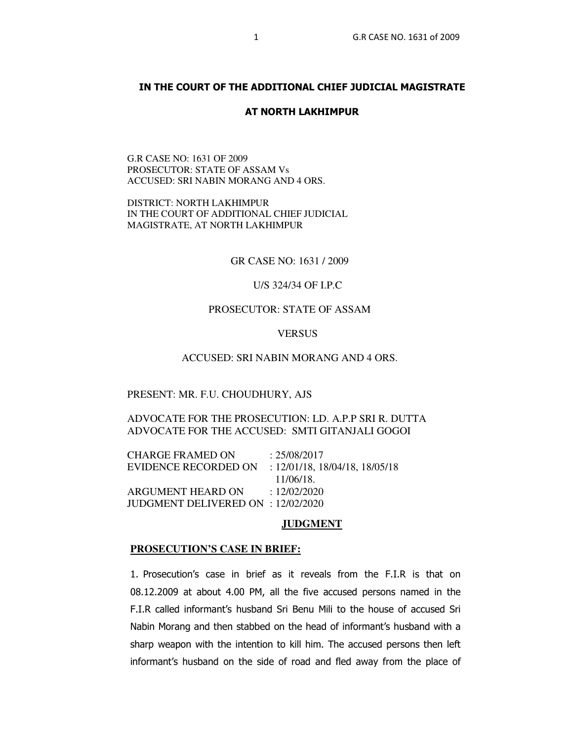# **IN THE COURT OF THE ADDITIONAL CHIEF JUDICIAL MAGISTRATE**

#### **AT NORTH LAKHIMPUR**

G.R CASE NO: 1631 OF 2009 PROSECUTOR: STATE OF ASSAM Vs ACCUSED: SRI NABIN MORANG AND 4 ORS.

DISTRICT: NORTH LAKHIMPUR IN THE COURT OF ADDITIONAL CHIEF JUDICIAL MAGISTRATE, AT NORTH LAKHIMPUR

GR CASE NO: 1631 / 2009

U/S 324/34 OF I.P.C

# PROSECUTOR: STATE OF ASSAM

## **VERSUS**

### ACCUSED: SRI NABIN MORANG AND 4 ORS.

#### PRESENT: MR. F.U. CHOUDHURY, AJS

# ADVOCATE FOR THE PROSECUTION: LD. A.P.P SRI R. DUTTA ADVOCATE FOR THE ACCUSED: SMTI GITANJALI GOGOI

CHARGE FRAMED ON : 25/08/2017 EVIDENCE RECORDED ON : 12/01/18, 18/04/18, 18/05/18 11/06/18. ARGUMENT HEARD ON : 12/02/2020 JUDGMENT DELIVERED ON : 12/02/2020

### **JUDGMENT**

#### **PROSECUTION'S CASE IN BRIEF:**

1. Prosecution's case in brief as it reveals from the F.I.R is that on 08.12.2009 at about 4.00 PM, all the five accused persons named in the F.I.R called informant's husband Sri Benu Mili to the house of accused Sri Nabin Morang and then stabbed on the head of informant's husband with a sharp weapon with the intention to kill him. The accused persons then left informant's husband on the side of road and fled away from the place of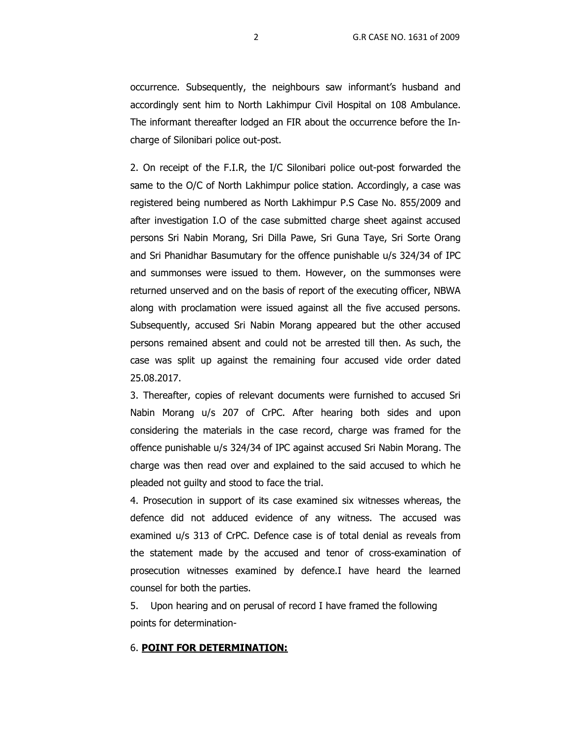occurrence. Subsequently, the neighbours saw informant's husband and accordingly sent him to North Lakhimpur Civil Hospital on 108 Ambulance. The informant thereafter lodged an FIR about the occurrence before the Incharge of Silonibari police out-post.

2. On receipt of the F.I.R, the I/C Silonibari police out-post forwarded the same to the O/C of North Lakhimpur police station. Accordingly, a case was registered being numbered as North Lakhimpur P.S Case No. 855/2009 and after investigation I.O of the case submitted charge sheet against accused persons Sri Nabin Morang, Sri Dilla Pawe, Sri Guna Taye, Sri Sorte Orang and Sri Phanidhar Basumutary for the offence punishable u/s 324/34 of IPC and summonses were issued to them. However, on the summonses were returned unserved and on the basis of report of the executing officer, NBWA along with proclamation were issued against all the five accused persons. Subsequently, accused Sri Nabin Morang appeared but the other accused persons remained absent and could not be arrested till then. As such, the case was split up against the remaining four accused vide order dated 25.08.2017.

3. Thereafter, copies of relevant documents were furnished to accused Sri Nabin Morang u/s 207 of CrPC. After hearing both sides and upon considering the materials in the case record, charge was framed for the offence punishable u/s 324/34 of IPC against accused Sri Nabin Morang. The charge was then read over and explained to the said accused to which he pleaded not guilty and stood to face the trial.

4. Prosecution in support of its case examined six witnesses whereas, the defence did not adduced evidence of any witness. The accused was examined u/s 313 of CrPC. Defence case is of total denial as reveals from the statement made by the accused and tenor of cross-examination of prosecution witnesses examined by defence.I have heard the learned counsel for both the parties.

5. Upon hearing and on perusal of record I have framed the following points for determination-

### 6. **POINT FOR DETERMINATION:**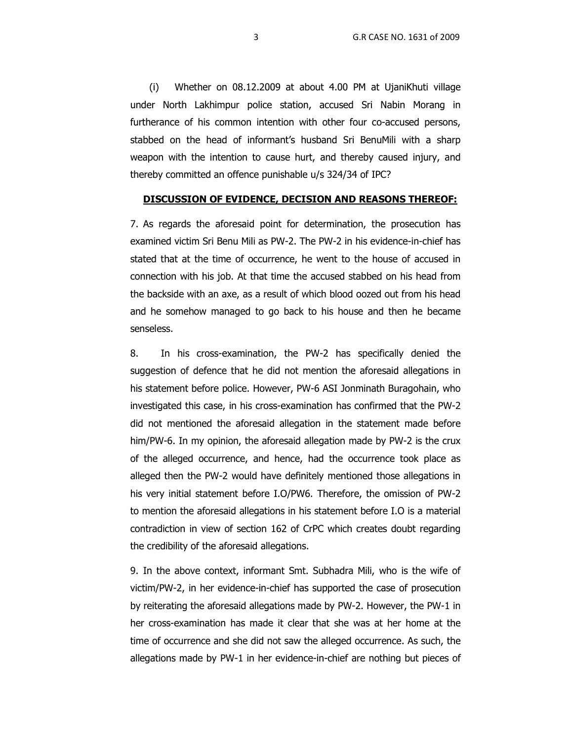(i) Whether on 08.12.2009 at about 4.00 PM at UjaniKhuti village under North Lakhimpur police station, accused Sri Nabin Morang in furtherance of his common intention with other four co-accused persons, stabbed on the head of informant's husband Sri BenuMili with a sharp weapon with the intention to cause hurt, and thereby caused injury, and thereby committed an offence punishable u/s 324/34 of IPC?

#### **DISCUSSION OF EVIDENCE, DECISION AND REASONS THEREOF:**

7. As regards the aforesaid point for determination, the prosecution has examined victim Sri Benu Mili as PW-2. The PW-2 in his evidence-in-chief has stated that at the time of occurrence, he went to the house of accused in connection with his job. At that time the accused stabbed on his head from the backside with an axe, as a result of which blood oozed out from his head and he somehow managed to go back to his house and then he became senseless.

8. In his cross-examination, the PW-2 has specifically denied the suggestion of defence that he did not mention the aforesaid allegations in his statement before police. However, PW-6 ASI Jonminath Buragohain, who investigated this case, in his cross-examination has confirmed that the PW-2 did not mentioned the aforesaid allegation in the statement made before him/PW-6. In my opinion, the aforesaid allegation made by PW-2 is the crux of the alleged occurrence, and hence, had the occurrence took place as alleged then the PW-2 would have definitely mentioned those allegations in his very initial statement before I.O/PW6. Therefore, the omission of PW-2 to mention the aforesaid allegations in his statement before I.O is a material contradiction in view of section 162 of CrPC which creates doubt regarding the credibility of the aforesaid allegations.

9. In the above context, informant Smt. Subhadra Mili, who is the wife of victim/PW-2, in her evidence-in-chief has supported the case of prosecution by reiterating the aforesaid allegations made by PW-2. However, the PW-1 in her cross-examination has made it clear that she was at her home at the time of occurrence and she did not saw the alleged occurrence. As such, the allegations made by PW-1 in her evidence-in-chief are nothing but pieces of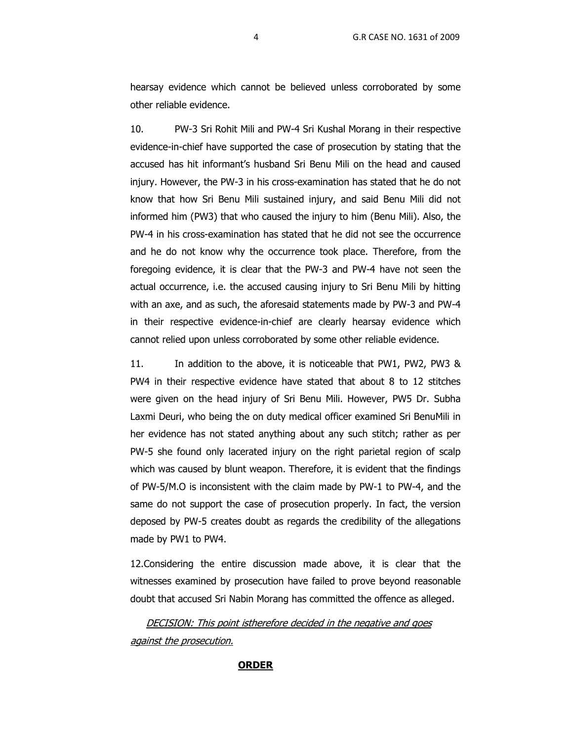hearsay evidence which cannot be believed unless corroborated by some other reliable evidence.

10. PW-3 Sri Rohit Mili and PW-4 Sri Kushal Morang in their respective evidence-in-chief have supported the case of prosecution by stating that the accused has hit informant's husband Sri Benu Mili on the head and caused injury. However, the PW-3 in his cross-examination has stated that he do not know that how Sri Benu Mili sustained injury, and said Benu Mili did not informed him (PW3) that who caused the injury to him (Benu Mili). Also, the PW-4 in his cross-examination has stated that he did not see the occurrence and he do not know why the occurrence took place. Therefore, from the foregoing evidence, it is clear that the PW-3 and PW-4 have not seen the actual occurrence, i.e. the accused causing injury to Sri Benu Mili by hitting with an axe, and as such, the aforesaid statements made by PW-3 and PW-4 in their respective evidence-in-chief are clearly hearsay evidence which cannot relied upon unless corroborated by some other reliable evidence.

11. In addition to the above, it is noticeable that PW1, PW2, PW3 & PW4 in their respective evidence have stated that about 8 to 12 stitches were given on the head injury of Sri Benu Mili. However, PW5 Dr. Subha Laxmi Deuri, who being the on duty medical officer examined Sri BenuMili in her evidence has not stated anything about any such stitch; rather as per PW-5 she found only lacerated injury on the right parietal region of scalp which was caused by blunt weapon. Therefore, it is evident that the findings of PW-5/M.O is inconsistent with the claim made by PW-1 to PW-4, and the same do not support the case of prosecution properly. In fact, the version deposed by PW-5 creates doubt as regards the credibility of the allegations made by PW1 to PW4.

12.Considering the entire discussion made above, it is clear that the witnesses examined by prosecution have failed to prove beyond reasonable doubt that accused Sri Nabin Morang has committed the offence as alleged.

DECISION: This point istherefore decided in the negative and goes against the prosecution.

### **ORDER**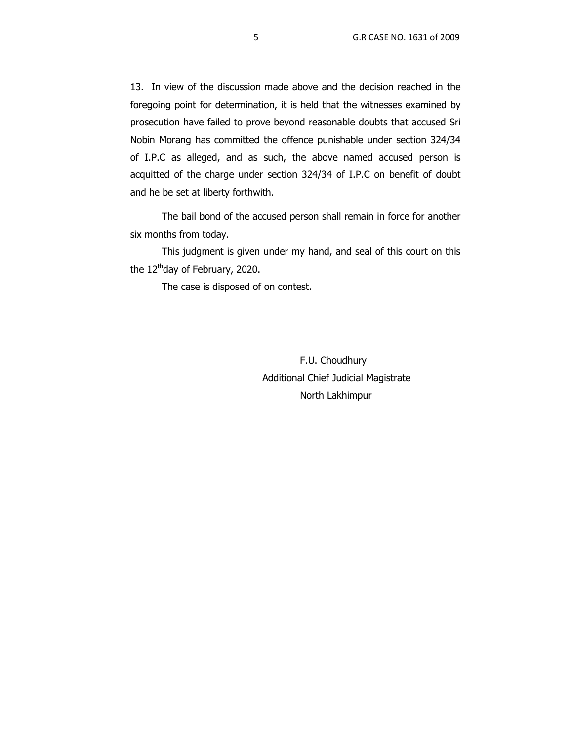13. In view of the discussion made above and the decision reached in the foregoing point for determination, it is held that the witnesses examined by prosecution have failed to prove beyond reasonable doubts that accused Sri Nobin Morang has committed the offence punishable under section 324/34 of I.P.C as alleged, and as such, the above named accused person is acquitted of the charge under section 324/34 of I.P.C on benefit of doubt and he be set at liberty forthwith.

The bail bond of the accused person shall remain in force for another six months from today.

This judgment is given under my hand, and seal of this court on this the  $12<sup>th</sup>$ day of February, 2020.

The case is disposed of on contest.

 F.U. Choudhury Additional Chief Judicial Magistrate North Lakhimpur